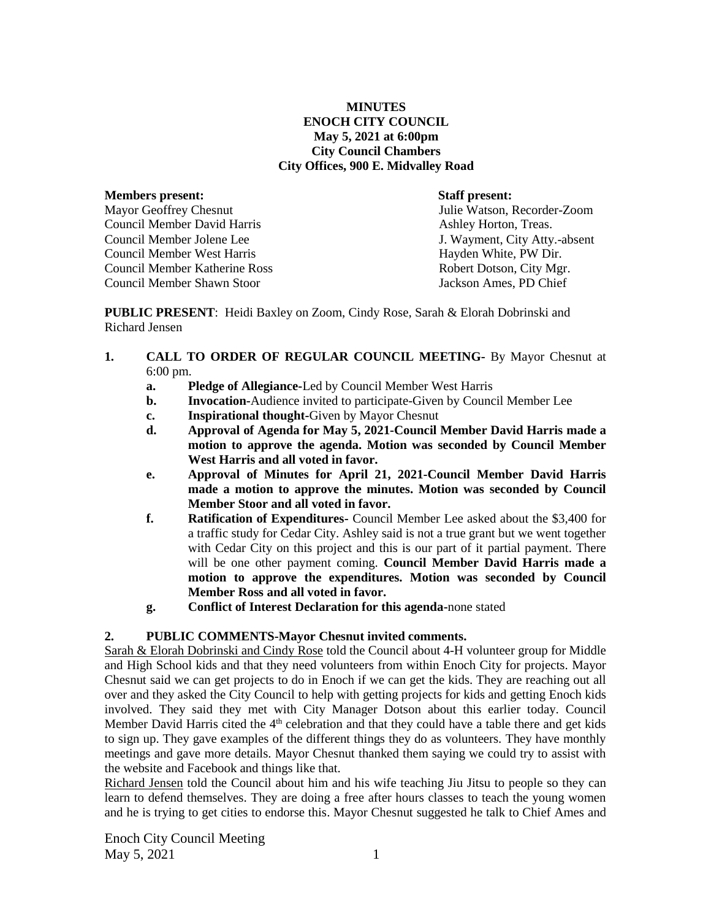**MINUTES ENOCH CITY COUNCIL May 5, 2021 at 6:00pm City Council Chambers City Offices, 900 E. Midvalley Road**

#### **Members present: Staff present:**

Mayor Geoffrey Chesnut Julie Watson, Recorder-Zoom Council Member David Harris **Ashley Horton, Treas.** Ashley Horton, Treas. Council Member Jolene Lee J. Wayment, City Atty.-absent Council Member West Harris **Hayden White, PW Dir.** And Hayden White, PW Dir. Council Member Katherine Ross Robert Dotson, City Mgr. Council Member Shawn Stoor Jackson Ames, PD Chief

**PUBLIC PRESENT**: Heidi Baxley on Zoom, Cindy Rose, Sarah & Elorah Dobrinski and Richard Jensen

- **1. CALL TO ORDER OF REGULAR COUNCIL MEETING-** By Mayor Chesnut at 6:00 pm.
	- **a. Pledge of Allegiance-**Led by Council Member West Harris
	- **b. Invocation-**Audience invited to participate-Given by Council Member Lee
	- **c. Inspirational thought-**Given by Mayor Chesnut
	- **d. Approval of Agenda for May 5, 2021-Council Member David Harris made a motion to approve the agenda. Motion was seconded by Council Member West Harris and all voted in favor.**
	- **e. Approval of Minutes for April 21, 2021-Council Member David Harris made a motion to approve the minutes. Motion was seconded by Council Member Stoor and all voted in favor.**
	- **f. Ratification of Expenditures-** Council Member Lee asked about the \$3,400 for a traffic study for Cedar City. Ashley said is not a true grant but we went together with Cedar City on this project and this is our part of it partial payment. There will be one other payment coming. **Council Member David Harris made a motion to approve the expenditures. Motion was seconded by Council Member Ross and all voted in favor.**
	- **g. Conflict of Interest Declaration for this agenda-**none stated

# **2. PUBLIC COMMENTS-Mayor Chesnut invited comments.**

Sarah & Elorah Dobrinski and Cindy Rose told the Council about 4-H volunteer group for Middle and High School kids and that they need volunteers from within Enoch City for projects. Mayor Chesnut said we can get projects to do in Enoch if we can get the kids. They are reaching out all over and they asked the City Council to help with getting projects for kids and getting Enoch kids involved. They said they met with City Manager Dotson about this earlier today. Council Member David Harris cited the 4<sup>th</sup> celebration and that they could have a table there and get kids to sign up. They gave examples of the different things they do as volunteers. They have monthly meetings and gave more details. Mayor Chesnut thanked them saying we could try to assist with the website and Facebook and things like that.

Richard Jensen told the Council about him and his wife teaching Jiu Jitsu to people so they can learn to defend themselves. They are doing a free after hours classes to teach the young women and he is trying to get cities to endorse this. Mayor Chesnut suggested he talk to Chief Ames and

Enoch City Council Meeting  $\text{May } 5, 2021$  1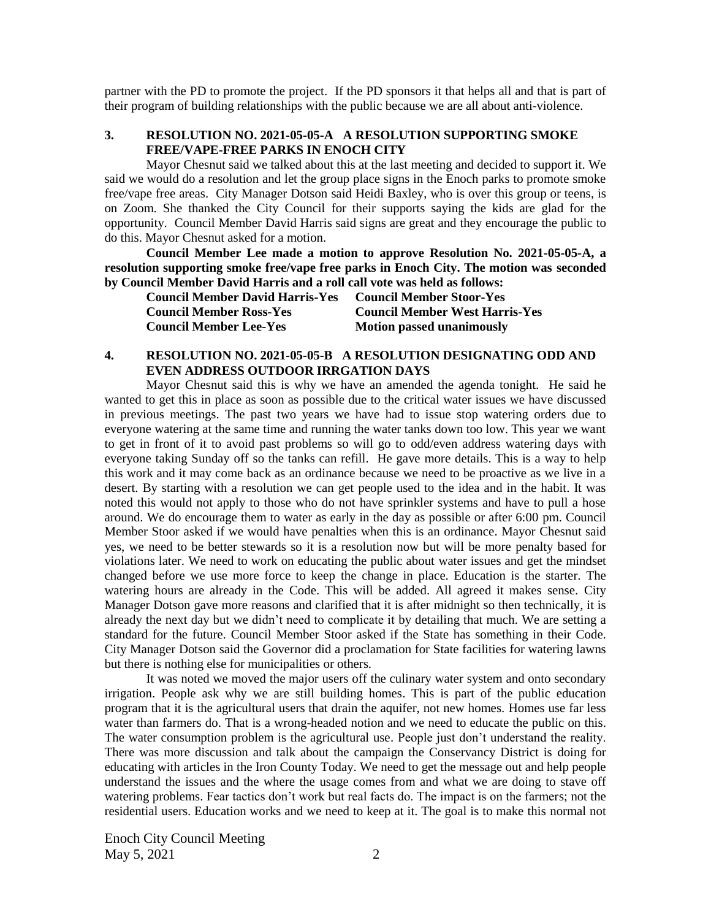partner with the PD to promote the project. If the PD sponsors it that helps all and that is part of their program of building relationships with the public because we are all about anti-violence.

### **3. RESOLUTION NO. 2021-05-05-A A RESOLUTION SUPPORTING SMOKE FREE/VAPE-FREE PARKS IN ENOCH CITY**

Mayor Chesnut said we talked about this at the last meeting and decided to support it. We said we would do a resolution and let the group place signs in the Enoch parks to promote smoke free/vape free areas. City Manager Dotson said Heidi Baxley, who is over this group or teens, is on Zoom. She thanked the City Council for their supports saying the kids are glad for the opportunity. Council Member David Harris said signs are great and they encourage the public to do this. Mayor Chesnut asked for a motion.

**Council Member Lee made a motion to approve Resolution No. 2021-05-05-A, a resolution supporting smoke free/vape free parks in Enoch City. The motion was seconded by Council Member David Harris and a roll call vote was held as follows:** 

| <b>Council Member David Harris-Yes</b> | <b>Council Member Stoor-Yes</b>       |
|----------------------------------------|---------------------------------------|
| <b>Council Member Ross-Yes</b>         | <b>Council Member West Harris-Yes</b> |
| <b>Council Member Lee-Yes</b>          | <b>Motion passed unanimously</b>      |

## **4. RESOLUTION NO. 2021-05-05-B A RESOLUTION DESIGNATING ODD AND EVEN ADDRESS OUTDOOR IRRGATION DAYS**

Mayor Chesnut said this is why we have an amended the agenda tonight. He said he wanted to get this in place as soon as possible due to the critical water issues we have discussed in previous meetings. The past two years we have had to issue stop watering orders due to everyone watering at the same time and running the water tanks down too low. This year we want to get in front of it to avoid past problems so will go to odd/even address watering days with everyone taking Sunday off so the tanks can refill. He gave more details. This is a way to help this work and it may come back as an ordinance because we need to be proactive as we live in a desert. By starting with a resolution we can get people used to the idea and in the habit. It was noted this would not apply to those who do not have sprinkler systems and have to pull a hose around. We do encourage them to water as early in the day as possible or after 6:00 pm. Council Member Stoor asked if we would have penalties when this is an ordinance. Mayor Chesnut said yes, we need to be better stewards so it is a resolution now but will be more penalty based for violations later. We need to work on educating the public about water issues and get the mindset changed before we use more force to keep the change in place. Education is the starter. The watering hours are already in the Code. This will be added. All agreed it makes sense. City Manager Dotson gave more reasons and clarified that it is after midnight so then technically, it is already the next day but we didn't need to complicate it by detailing that much. We are setting a standard for the future. Council Member Stoor asked if the State has something in their Code. City Manager Dotson said the Governor did a proclamation for State facilities for watering lawns but there is nothing else for municipalities or others.

It was noted we moved the major users off the culinary water system and onto secondary irrigation. People ask why we are still building homes. This is part of the public education program that it is the agricultural users that drain the aquifer, not new homes. Homes use far less water than farmers do. That is a wrong-headed notion and we need to educate the public on this. The water consumption problem is the agricultural use. People just don't understand the reality. There was more discussion and talk about the campaign the Conservancy District is doing for educating with articles in the Iron County Today. We need to get the message out and help people understand the issues and the where the usage comes from and what we are doing to stave off watering problems. Fear tactics don't work but real facts do. The impact is on the farmers; not the residential users. Education works and we need to keep at it. The goal is to make this normal not

Enoch City Council Meeting May  $5, 2021$  2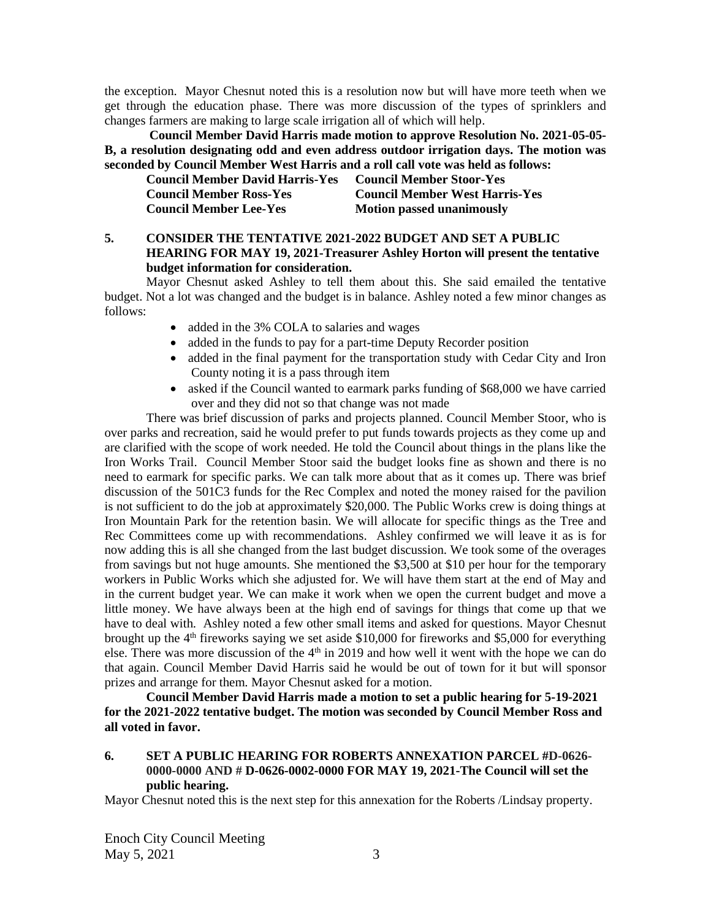the exception. Mayor Chesnut noted this is a resolution now but will have more teeth when we get through the education phase. There was more discussion of the types of sprinklers and changes farmers are making to large scale irrigation all of which will help.

**Council Member David Harris made motion to approve Resolution No. 2021-05-05- B, a resolution designating odd and even address outdoor irrigation days. The motion was seconded by Council Member West Harris and a roll call vote was held as follows:**

| <b>Council Member David Harris-Yes</b> | <b>Council Member Stoor-Yes</b>       |
|----------------------------------------|---------------------------------------|
| <b>Council Member Ross-Yes</b>         | <b>Council Member West Harris-Yes</b> |
| <b>Council Member Lee-Yes</b>          | <b>Motion passed unanimously</b>      |

## **5. CONSIDER THE TENTATIVE 2021-2022 BUDGET AND SET A PUBLIC HEARING FOR MAY 19, 2021-Treasurer Ashley Horton will present the tentative budget information for consideration.**

Mayor Chesnut asked Ashley to tell them about this. She said emailed the tentative budget. Not a lot was changed and the budget is in balance. Ashley noted a few minor changes as follows:

- added in the 3% COLA to salaries and wages
- added in the funds to pay for a part-time Deputy Recorder position
- added in the final payment for the transportation study with Cedar City and Iron County noting it is a pass through item
- asked if the Council wanted to earmark parks funding of \$68,000 we have carried over and they did not so that change was not made

There was brief discussion of parks and projects planned. Council Member Stoor, who is over parks and recreation, said he would prefer to put funds towards projects as they come up and are clarified with the scope of work needed. He told the Council about things in the plans like the Iron Works Trail.Council Member Stoor said the budget looks fine as shown and there is no need to earmark for specific parks. We can talk more about that as it comes up. There was brief discussion of the 501C3 funds for the Rec Complex and noted the money raised for the pavilion is not sufficient to do the job at approximately \$20,000. The Public Works crew is doing things at Iron Mountain Park for the retention basin. We will allocate for specific things as the Tree and Rec Committees come up with recommendations. Ashley confirmed we will leave it as is for now adding this is all she changed from the last budget discussion. We took some of the overages from savings but not huge amounts. She mentioned the \$3,500 at \$10 per hour for the temporary workers in Public Works which she adjusted for. We will have them start at the end of May and in the current budget year. We can make it work when we open the current budget and move a little money. We have always been at the high end of savings for things that come up that we have to deal with. Ashley noted a few other small items and asked for questions. Mayor Chesnut brought up the 4<sup>th</sup> fireworks saying we set aside \$10,000 for fireworks and \$5,000 for everything else. There was more discussion of the  $4<sup>th</sup>$  in 2019 and how well it went with the hope we can do that again. Council Member David Harris said he would be out of town for it but will sponsor prizes and arrange for them. Mayor Chesnut asked for a motion.

**Council Member David Harris made a motion to set a public hearing for 5-19-2021 for the 2021-2022 tentative budget. The motion was seconded by Council Member Ross and all voted in favor.**

**6. SET A PUBLIC HEARING FOR ROBERTS ANNEXATION PARCEL #D-0626- 0000-0000 AND # D-0626-0002-0000 FOR MAY 19, 2021-The Council will set the public hearing.**

Mayor Chesnut noted this is the next step for this annexation for the Roberts /Lindsay property.

Enoch City Council Meeting May 5, 2021 3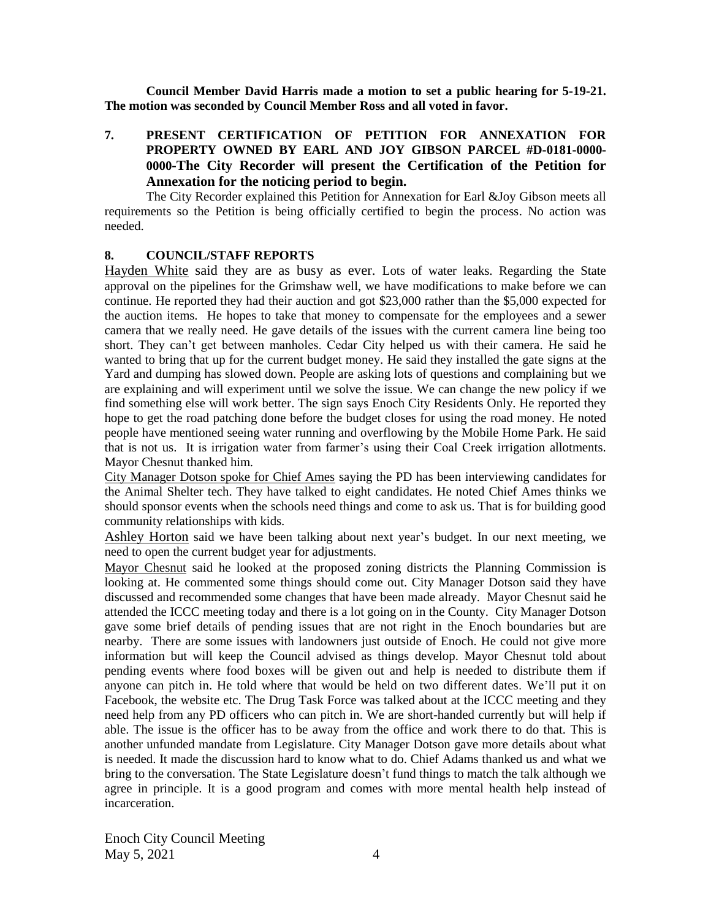**Council Member David Harris made a motion to set a public hearing for 5-19-21. The motion was seconded by Council Member Ross and all voted in favor.**

**7. PRESENT CERTIFICATION OF PETITION FOR ANNEXATION FOR PROPERTY OWNED BY EARL AND JOY GIBSON PARCEL #D-0181-0000- 0000-The City Recorder will present the Certification of the Petition for Annexation for the noticing period to begin.**

The City Recorder explained this Petition for Annexation for Earl &Joy Gibson meets all requirements so the Petition is being officially certified to begin the process. No action was needed.

#### **8. COUNCIL/STAFF REPORTS**

Hayden White said they are as busy as ever. Lots of water leaks. Regarding the State approval on the pipelines for the Grimshaw well, we have modifications to make before we can continue. He reported they had their auction and got \$23,000 rather than the \$5,000 expected for the auction items. He hopes to take that money to compensate for the employees and a sewer camera that we really need. He gave details of the issues with the current camera line being too short. They can't get between manholes. Cedar City helped us with their camera. He said he wanted to bring that up for the current budget money. He said they installed the gate signs at the Yard and dumping has slowed down. People are asking lots of questions and complaining but we are explaining and will experiment until we solve the issue. We can change the new policy if we find something else will work better. The sign says Enoch City Residents Only. He reported they hope to get the road patching done before the budget closes for using the road money. He noted people have mentioned seeing water running and overflowing by the Mobile Home Park. He said that is not us. It is irrigation water from farmer's using their Coal Creek irrigation allotments. Mayor Chesnut thanked him.

City Manager Dotson spoke for Chief Ames saying the PD has been interviewing candidates for the Animal Shelter tech. They have talked to eight candidates. He noted Chief Ames thinks we should sponsor events when the schools need things and come to ask us. That is for building good community relationships with kids.

Ashley Horton said we have been talking about next year's budget. In our next meeting, we need to open the current budget year for adjustments.

Mayor Chesnut said he looked at the proposed zoning districts the Planning Commission is looking at. He commented some things should come out. City Manager Dotson said they have discussed and recommended some changes that have been made already. Mayor Chesnut said he attended the ICCC meeting today and there is a lot going on in the County. City Manager Dotson gave some brief details of pending issues that are not right in the Enoch boundaries but are nearby. There are some issues with landowners just outside of Enoch. He could not give more information but will keep the Council advised as things develop. Mayor Chesnut told about pending events where food boxes will be given out and help is needed to distribute them if anyone can pitch in. He told where that would be held on two different dates. We'll put it on Facebook, the website etc. The Drug Task Force was talked about at the ICCC meeting and they need help from any PD officers who can pitch in. We are short-handed currently but will help if able. The issue is the officer has to be away from the office and work there to do that. This is another unfunded mandate from Legislature. City Manager Dotson gave more details about what is needed. It made the discussion hard to know what to do. Chief Adams thanked us and what we bring to the conversation. The State Legislature doesn't fund things to match the talk although we agree in principle. It is a good program and comes with more mental health help instead of incarceration.

Enoch City Council Meeting  $\text{May } 5, 2021$  4